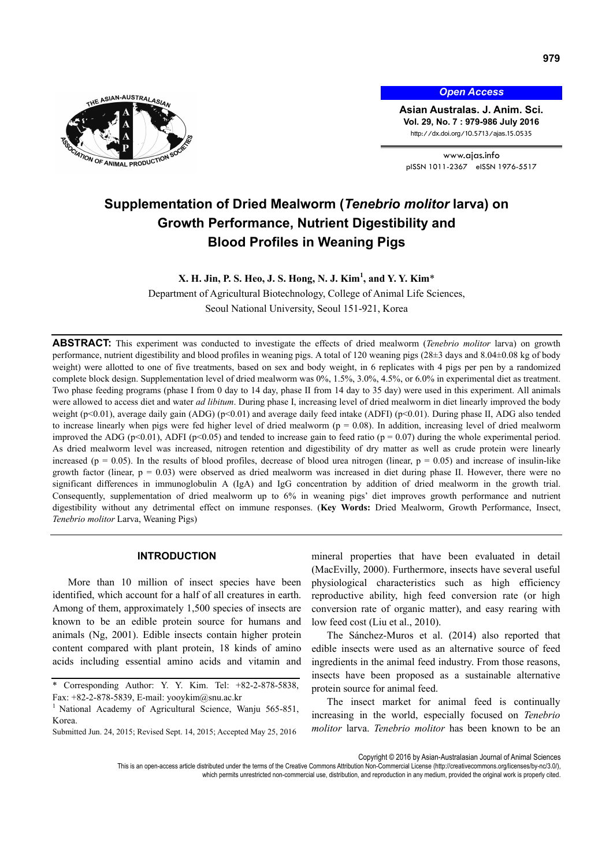

*Open Access*

**Asian Australas. J. Anim. Sci. Vol. 29, No. 7 : 979-986 July 2016**  http://dx.doi.org/10.5713/ajas.15.0535

www.ajas.info pISSN 1011-2367 eISSN 1976-5517

# **Supplementation of Dried Mealworm (***Tenebrio molitor* **larva) on Growth Performance, Nutrient Digestibility and Blood Profiles in Weaning Pigs**

## **X. H. Jin, P. S. Heo, J. S. Hong, N. J. Kim<sup>1</sup> , and Y. Y. Kim**\*

Department of Agricultural Biotechnology, College of Animal Life Sciences, Seoul National University, Seoul 151-921, Korea

**ABSTRACT:** This experiment was conducted to investigate the effects of dried mealworm (*Tenebrio molitor* larva) on growth performance, nutrient digestibility and blood profiles in weaning pigs. A total of 120 weaning pigs (28±3 days and 8.04±0.08 kg of body weight) were allotted to one of five treatments, based on sex and body weight, in 6 replicates with 4 pigs per pen by a randomized complete block design. Supplementation level of dried mealworm was 0%, 1.5%, 3.0%, 4.5%, or 6.0% in experimental diet as treatment. Two phase feeding programs (phase I from 0 day to 14 day, phase II from 14 day to 35 day) were used in this experiment. All animals were allowed to access diet and water *ad libitum*. During phase I, increasing level of dried mealworm in diet linearly improved the body weight (p<0.01), average daily gain (ADG) (p<0.01) and average daily feed intake (ADFI) (p<0.01). During phase II, ADG also tended to increase linearly when pigs were fed higher level of dried mealworm ( $p = 0.08$ ). In addition, increasing level of dried mealworm improved the ADG (p<0.01), ADFI (p<0.05) and tended to increase gain to feed ratio (p = 0.07) during the whole experimental period. As dried mealworm level was increased, nitrogen retention and digestibility of dry matter as well as crude protein were linearly increased ( $p = 0.05$ ). In the results of blood profiles, decrease of blood urea nitrogen (linear,  $p = 0.05$ ) and increase of insulin-like growth factor (linear,  $p = 0.03$ ) were observed as dried mealworm was increased in diet during phase II. However, there were no significant differences in immunoglobulin A (IgA) and IgG concentration by addition of dried mealworm in the growth trial. Consequently, supplementation of dried mealworm up to 6% in weaning pigs' diet improves growth performance and nutrient digestibility without any detrimental effect on immune responses. (**Key Words:** Dried Mealworm, Growth Performance, Insect, *Tenebrio molitor* Larva, Weaning Pigs)

## **INTRODUCTION**

More than 10 million of insect species have been identified, which account for a half of all creatures in earth. Among of them, approximately 1,500 species of insects are known to be an edible protein source for humans and animals (Ng, 2001). Edible insects contain higher protein content compared with plant protein, 18 kinds of amino acids including essential amino acids and vitamin and

Submitted Jun. 24, 2015; Revised Sept. 14, 2015; Accepted May 25, 2016

mineral properties that have been evaluated in detail (MacEvilly, 2000). Furthermore, insects have several useful physiological characteristics such as high efficiency reproductive ability, high feed conversion rate (or high conversion rate of organic matter), and easy rearing with low feed cost (Liu et al., 2010).

The Sánchez-Muros et al. (2014) also reported that edible insects were used as an alternative source of feed ingredients in the animal feed industry. From those reasons, insects have been proposed as a sustainable alternative protein source for animal feed.

The insect market for animal feed is continually increasing in the world, especially focused on *Tenebrio molitor* larva. *Tenebrio molitor* has been known to be an

Copyright © 2016 by Asian-Australasian Journal of Animal Sciences

<sup>\*</sup> Corresponding Author: Y. Y. Kim. Tel: +82-2-878-5838, Fax: +82-2-878-5839, E-mail: yooykim@snu.ac.kr

<sup>&</sup>lt;sup>1</sup> National Academy of Agricultural Science, Wanju 565-851, Korea.

This is an open-access article distributed under the terms of the Creative Commons Attribution Non-Commercial License (http://creativecommons.org/licenses/by-nc/3.0/), which permits unrestricted non-commercial use, distribution, and reproduction in any medium, provided the original work is properly cited.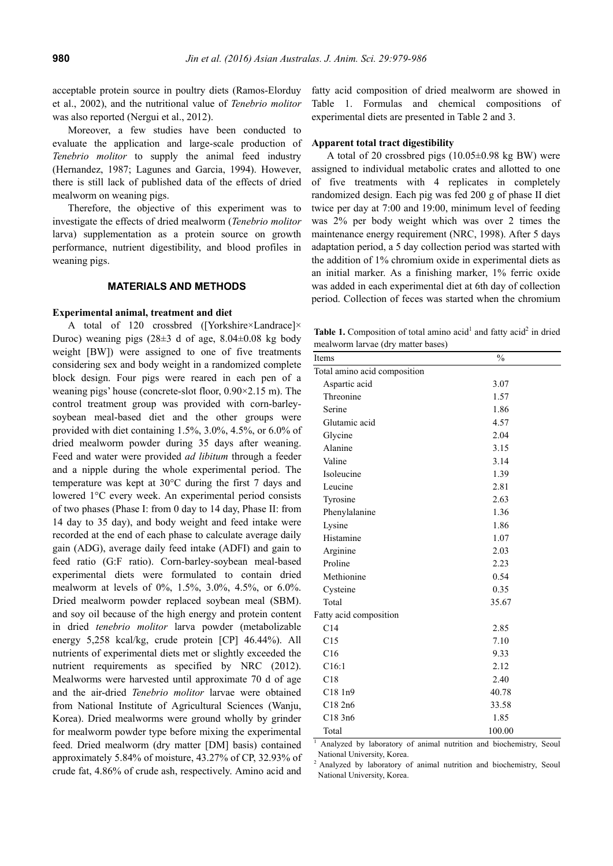acceptable protein source in poultry diets (Ramos-Elorduy et al., 2002), and the nutritional value of *Tenebrio molitor*  was also reported (Nergui et al., 2012).

Moreover, a few studies have been conducted to evaluate the application and large-scale production of *Tenebrio molitor* to supply the animal feed industry (Hernandez, 1987; Lagunes and Garcia, 1994). However, there is still lack of published data of the effects of dried mealworm on weaning pigs.

Therefore, the objective of this experiment was to investigate the effects of dried mealworm (*Tenebrio molitor* larva) supplementation as a protein source on growth performance, nutrient digestibility, and blood profiles in weaning pigs.

### **MATERIALS AND METHODS**

#### **Experimental animal, treatment and diet**

A total of 120 crossbred ([Yorkshire×Landrace]× Duroc) weaning pigs  $(28\pm3$  d of age,  $8.04\pm0.08$  kg body weight [BW]) were assigned to one of five treatments considering sex and body weight in a randomized complete block design. Four pigs were reared in each pen of a weaning pigs' house (concrete-slot floor, 0.90×2.15 m). The control treatment group was provided with corn-barleysoybean meal-based diet and the other groups were provided with diet containing 1.5%, 3.0%, 4.5%, or 6.0% of dried mealworm powder during 35 days after weaning. Feed and water were provided *ad libitum* through a feeder and a nipple during the whole experimental period. The temperature was kept at 30°C during the first 7 days and lowered 1°C every week. An experimental period consists of two phases (Phase I: from 0 day to 14 day, Phase II: from 14 day to 35 day), and body weight and feed intake were recorded at the end of each phase to calculate average daily gain (ADG), average daily feed intake (ADFI) and gain to feed ratio (G:F ratio). Corn-barley-soybean meal-based experimental diets were formulated to contain dried mealworm at levels of 0%, 1.5%, 3.0%, 4.5%, or 6.0%. Dried mealworm powder replaced soybean meal (SBM). and soy oil because of the high energy and protein content in dried *tenebrio molitor* larva powder (metabolizable energy 5,258 kcal/kg, crude protein [CP] 46.44%). All nutrients of experimental diets met or slightly exceeded the nutrient requirements as specified by NRC (2012). Mealworms were harvested until approximate 70 d of age and the air-dried *Tenebrio molitor* larvae were obtained from National Institute of Agricultural Sciences (Wanju, Korea). Dried mealworms were ground wholly by grinder for mealworm powder type before mixing the experimental feed. Dried mealworm (dry matter [DM] basis) contained approximately 5.84% of moisture, 43.27% of CP, 32.93% of crude fat, 4.86% of crude ash, respectively. Amino acid and fatty acid composition of dried mealworm are showed in Table 1. Formulas and chemical compositions of experimental diets are presented in Table 2 and 3.

#### **Apparent total tract digestibility**

A total of 20 crossbred pigs  $(10.05\pm0.98 \text{ kg BW})$  were assigned to individual metabolic crates and allotted to one of five treatments with 4 replicates in completely randomized design. Each pig was fed 200 g of phase II diet twice per day at 7:00 and 19:00, minimum level of feeding was 2% per body weight which was over 2 times the maintenance energy requirement (NRC, 1998). After 5 days adaptation period, a 5 day collection period was started with the addition of 1% chromium oxide in experimental diets as an initial marker. As a finishing marker, 1% ferric oxide was added in each experimental diet at 6th day of collection period. Collection of feces was started when the chromium

**Table 1.** Composition of total amino acid<sup>1</sup> and fatty acid<sup>2</sup> in dried mealworm larvae (dry matter bases)

| Items                        | $\frac{0}{0}$ |
|------------------------------|---------------|
| Total amino acid composition |               |
| Aspartic acid                | 3.07          |
| Threonine                    | 1.57          |
| Serine                       | 1.86          |
| Glutamic acid                | 4.57          |
| Glycine                      | 2.04          |
| Alanine                      | 3.15          |
| Valine                       | 3.14          |
| Isoleucine                   | 1.39          |
| Leucine                      | 2.81          |
| Tyrosine                     | 2.63          |
| Phenylalanine                | 1.36          |
| Lysine                       | 1.86          |
| Histamine                    | 1.07          |
| Arginine                     | 2.03          |
| Proline                      | 2.23          |
| Methionine                   | 0.54          |
| Cysteine                     | 0.35          |
| Total                        | 35.67         |
| Fatty acid composition       |               |
| C14                          | 2.85          |
| C15                          | 7.10          |
| C16                          | 9.33          |
| C16:1                        | 2.12          |
| C18                          | 2.40          |
| C181n9                       | 40.78         |
| C18 2n6                      | 33.58         |
| C18 3n6                      | 1.85          |
| Total                        | 100.00        |

<sup>1</sup> Analyzed by laboratory of animal nutrition and biochemistry, Seoul National University, Korea.

<sup>2</sup> Analyzed by laboratory of animal nutrition and biochemistry, Seoul National University, Korea.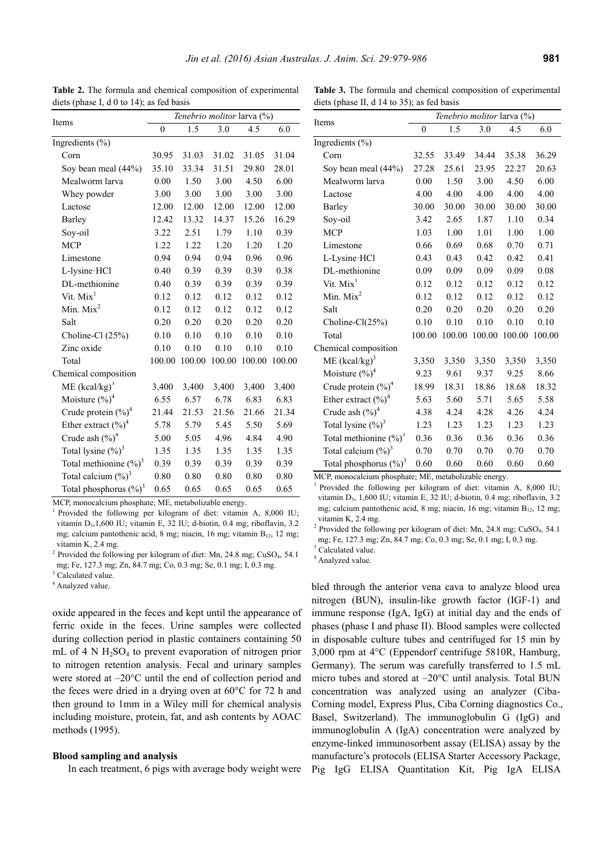Items

|                                    | Tenebrio molitor larva (%) |        |        |        |        |  |  |  |
|------------------------------------|----------------------------|--------|--------|--------|--------|--|--|--|
| Items                              | $\theta$                   | 1.5    | 3.0    | 4.5    | 6.0    |  |  |  |
| Ingredients $(\% )$                |                            |        |        |        |        |  |  |  |
| Corn                               | 30.95                      | 31.03  | 31.02  | 31.05  | 31.04  |  |  |  |
| Soy bean meal (44%)                | 35.10                      | 33.34  | 31.51  | 29.80  | 28.01  |  |  |  |
| Mealworm larva                     | 0.00                       | 1.50   | 3.00   | 4.50   | 6.00   |  |  |  |
| Whey powder                        | 3.00                       | 3.00   | 3.00   | 3.00   | 3.00   |  |  |  |
| Lactose                            | 12.00                      | 12.00  | 12.00  | 12.00  | 12.00  |  |  |  |
| Barley                             | 12.42                      | 13.32  | 14.37  | 15.26  | 16.29  |  |  |  |
| Soy-oil                            | 3.22                       | 2.51   | 1.79   | 1.10   | 0.39   |  |  |  |
| <b>MCP</b>                         | 1.22                       | 1.22   | 1.20   | 1.20   | 1.20   |  |  |  |
| Limestone                          | 0.94                       | 0.94   | 0.94   | 0.96   | 0.96   |  |  |  |
| L-lysine HCl                       | 0.40                       | 0.39   | 0.39   | 0.39   | 0.38   |  |  |  |
| DL-methionine                      | 0.40                       | 0.39   | 0.39   | 0.39   | 0.39   |  |  |  |
| Vit. Mix <sup>1</sup>              | 0.12                       | 0.12   | 0.12   | 0.12   | 0.12   |  |  |  |
| Min. $Mix2$                        | 0.12                       | 0.12   | 0.12   | 0.12   | 0.12   |  |  |  |
| Salt                               | 0.20                       | 0.20   | 0.20   | 0.20   | 0.20   |  |  |  |
| Choline-Cl (25%)                   | 0.10                       | 0.10   | 0.10   | 0.10   | 0.10   |  |  |  |
| Zinc oxide                         | 0.10                       | 0.10   | 0.10   | 0.10   | 0.10   |  |  |  |
| Total                              | 100.00                     | 100.00 | 100.00 | 100.00 | 100.00 |  |  |  |
| Chemical composition               |                            |        |        |        |        |  |  |  |
| $ME (kcal/kg)^3$                   | 3,400                      | 3,400  | 3,400  | 3,400  | 3,400  |  |  |  |
| Moisture $(\%)^4$                  | 6.55                       | 6.57   | 6.78   | 6.83   | 6.83   |  |  |  |
| Crude protein $(\frac{6}{6})^4$    | 21.44                      | 21.53  | 21.56  | 21.66  | 21.34  |  |  |  |
| Ether extract $(\%)^4$             | 5.78                       | 5.79   | 5.45   | 5.50   | 5.69   |  |  |  |
| Crude ash $(\%)^4$                 | 5.00                       | 5.05   | 4.96   | 4.84   | 4.90   |  |  |  |
| Total lysine $(\frac{6}{6})^3$     | 1.35                       | 1.35   | 1.35   | 1.35   | 1.35   |  |  |  |
| Total methionine $(\frac{9}{0})^3$ | 0.39                       | 0.39   | 0.39   | 0.39   | 0.39   |  |  |  |
| Total calcium $(\frac{9}{6})^3$    | 0.80                       | 0.80   | 0.80   | 0.80   | 0.80   |  |  |  |
| Total phosphorus $(\%)^3$          | 0.65                       | 0.65   | 0.65   | 0.65   | 0.65   |  |  |  |

**Table 2.** The formula and chemical composition of experimental diets (phase I, d 0 to 14); as fed basis

**Table 3.** The formula and chemical composition of experimental diets (phase II, d 14 to 35); as fed basis

*Tenebrio molitor* larva (%)

|                                 | $\overline{0}$ | 1.5    | 3.0    | 4.5    | 6.0    |
|---------------------------------|----------------|--------|--------|--------|--------|
| Ingredients $(\% )$             |                |        |        |        |        |
| Corn                            | 32.55          | 33.49  | 34.44  | 35.38  | 36.29  |
| Soy bean meal (44%)             | 27.28          | 25.61  | 23.95  | 22.27  | 20.63  |
| Mealworm larva                  | 0.00           | 1.50   | 3.00   | 4.50   | 6.00   |
| Lactose                         | 4.00           | 4.00   | 4.00   | 4.00   | 4.00   |
| Barley                          | 30.00          | 30.00  | 30.00  | 30.00  | 30.00  |
| Soy-oil                         | 3.42           | 2.65   | 1.87   | 1.10   | 0.34   |
| <b>MCP</b>                      | 1.03           | 1.00   | 1.01   | 1.00   | 1.00   |
| Limestone                       | 0.66           | 0.69   | 0.68   | 0.70   | 0.71   |
| L-Lysine HCl                    | 0.43           | 0.43   | 0.42   | 0.42   | 0.41   |
| DL-methionine                   | 0.09           | 0.09   | 0.09   | 0.09   | 0.08   |
| Vit. Mix <sup>1</sup>           | 0.12           | 0.12   | 0.12   | 0.12   | 0.12   |
| Min. $Mix2$                     | 0.12           | 0.12   | 0.12   | 0.12   | 0.12   |
| Salt                            | 0.20           | 0.20   | 0.20   | 0.20   | 0.20   |
| Choline- $Cl(25%)$              | 0.10           | 0.10   | 0.10   | 0.10   | 0.10   |
| Total                           | 100.00         | 100.00 | 100.00 | 100.00 | 100.00 |
| Chemical composition            |                |        |        |        |        |
| ME $(kcal/kg)^3$                | 3,350          | 3,350  | 3,350  | 3,350  | 3,350  |
| Moisture $(\%)^4$               | 9.23           | 9.61   | 9.37   | 9.25   | 8.66   |
| Crude protein $(\%)^4$          | 18.99          | 18.31  | 18.86  | 18.68  | 18.32  |
| Ether extract $(\%)^4$          | 5.63           | 5.60   | 5.71   | 5.65   | 5.58   |
| Crude ash $(\%)^4$              | 4.38           | 4.24   | 4.28   | 4.26   | 4.24   |
| Total lysine $(\%)^3$           | 1.23           | 1.23   | 1.23   | 1.23   | 1.23   |
| Total methionine $(\%)^3$       | 0.36           | 0.36   | 0.36   | 0.36   | 0.36   |
| Total calcium $(\frac{9}{6})^3$ | 0.70           | 0.70   | 0.70   | 0.70   | 0.70   |
| Total phosphorus $(\%)^3$       | 0.60           | 0.60   | 0.60   | 0.60   | 0.60   |

MCP, monocalcium phosphate; ME, metabolizable energy.

<sup>1</sup> Provided the following per kilogram of diet: vitamin A, 8,000 IU; vitamin D3, 1,600 IU; vitamin E, 32 IU; d-biotin, 0.4 mg; riboflavin, 3.2 mg; calcium pantothenic acid, 8 mg; niacin, 16 mg; vitamin  $B_{12}$ , 12 mg; vitamin K, 2.4 mg.

<sup>2</sup> Provided the following per kilogram of diet: Mn, 24.8 mg; CuSO<sub>4</sub>, 54.1 mg; Fe, 127.3 mg; Zn, 84.7 mg; Co, 0.3 mg; Se, 0.1 mg; I, 0.3 mg.

<sup>3</sup> Calculated value.

4 Analyzed value.

bled through the anterior vena cava to analyze blood urea nitrogen (BUN), insulin-like growth factor (IGF-1) and immune response (IgA, IgG) at initial day and the ends of phases (phase I and phase II). Blood samples were collected in disposable culture tubes and centrifuged for 15 min by 3,000 rpm at 4°C (Eppendorf centrifuge 5810R, Hamburg, Germany). The serum was carefully transferred to 1.5 mL micro tubes and stored at –20°C until analysis. Total BUN concentration was analyzed using an analyzer (Ciba-Corning model, Express Plus, Ciba Corning diagnostics Co., Basel, Switzerland). The immunoglobulin G (IgG) and immunoglobulin A (IgA) concentration were analyzed by enzyme-linked immunosorbent assay (ELISA) assay by the manufacture's protocols (ELISA Starter Accessory Package, Pig IgG ELISA Quantitation Kit, Pig IgA ELISA

MCP, monocalcium phosphate; ME, metabolizable energy.

<sup>1</sup> Provided the following per kilogram of diet: vitamin A, 8,000 IU; vitamin D3,1,600 IU; vitamin E, 32 IU; d-biotin, 0.4 mg; riboflavin, 3.2 mg; calcium pantothenic acid, 8 mg; niacin, 16 mg; vitamin  $B_{12}$ , 12 mg; vitamin K, 2.4 mg.

<sup>4</sup> Analyzed value.

oxide appeared in the feces and kept until the appearance of ferric oxide in the feces. Urine samples were collected during collection period in plastic containers containing 50 mL of 4 N  $H_2SO_4$  to prevent evaporation of nitrogen prior to nitrogen retention analysis. Fecal and urinary samples were stored at –20°C until the end of collection period and the feces were dried in a drying oven at 60°C for 72 h and then ground to 1mm in a Wiley mill for chemical analysis including moisture, protein, fat, and ash contents by AOAC methods (1995).

#### **Blood sampling and analysis**

In each treatment, 6 pigs with average body weight were

<sup>&</sup>lt;sup>2</sup> Provided the following per kilogram of diet: Mn, 24.8 mg; CuSO<sub>4</sub>, 54.1 mg; Fe, 127.3 mg; Zn, 84.7 mg; Co, 0.3 mg; Se, 0.1 mg; I, 0.3 mg.

<sup>&</sup>lt;sup>3</sup> Calculated value.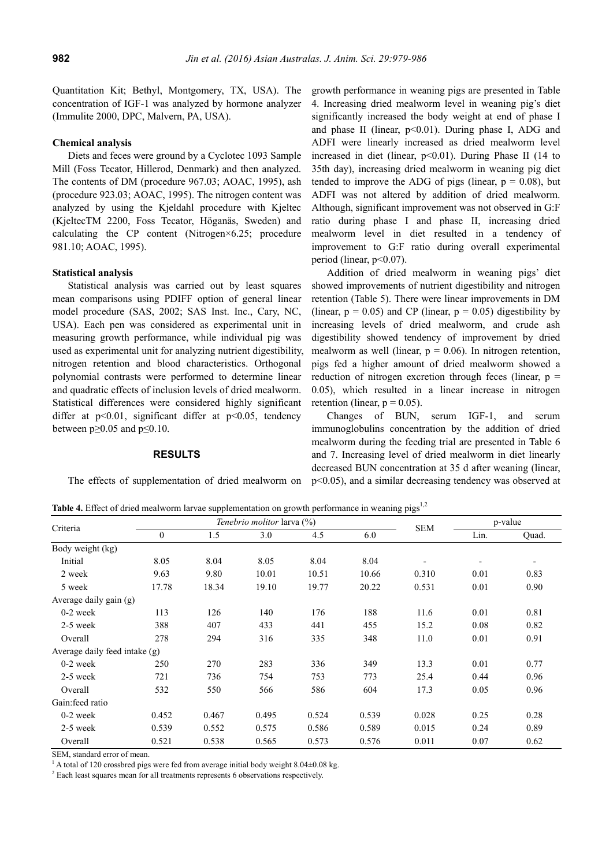Quantitation Kit; Bethyl, Montgomery, TX, USA). The concentration of IGF-1 was analyzed by hormone analyzer (Immulite 2000, DPC, Malvern, PA, USA).

### **Chemical analysis**

Diets and feces were ground by a Cyclotec 1093 Sample Mill (Foss Tecator, Hillerod, Denmark) and then analyzed. The contents of DM (procedure 967.03; AOAC, 1995), ash (procedure 923.03; AOAC, 1995). The nitrogen content was analyzed by using the Kjeldahl procedure with Kjeltec (KjeltecTM 2200, Foss Tecator, Höganäs, Sweden) and calculating the CP content (Nitrogen×6.25; procedure 981.10; AOAC, 1995).

#### **Statistical analysis**

Statistical analysis was carried out by least squares mean comparisons using PDIFF option of general linear model procedure (SAS, 2002; SAS Inst. Inc., Cary, NC, USA). Each pen was considered as experimental unit in measuring growth performance, while individual pig was used as experimental unit for analyzing nutrient digestibility, nitrogen retention and blood characteristics. Orthogonal polynomial contrasts were performed to determine linear and quadratic effects of inclusion levels of dried mealworm. Statistical differences were considered highly significant differ at  $p<0.01$ , significant differ at  $p<0.05$ , tendency between  $p \ge 0.05$  and  $p \le 0.10$ .

#### **RESULTS**

The effects of supplementation of dried mealworm on

growth performance in weaning pigs are presented in Table 4. Increasing dried mealworm level in weaning pig's diet significantly increased the body weight at end of phase I and phase II (linear,  $p<0.01$ ). During phase I, ADG and ADFI were linearly increased as dried mealworm level increased in diet (linear, p<0.01). During Phase II (14 to 35th day), increasing dried mealworm in weaning pig diet tended to improve the ADG of pigs (linear,  $p = 0.08$ ), but ADFI was not altered by addition of dried mealworm. Although, significant improvement was not observed in G:F ratio during phase I and phase II, increasing dried mealworm level in diet resulted in a tendency of improvement to G:F ratio during overall experimental period (linear, p<0.07).

Addition of dried mealworm in weaning pigs' diet showed improvements of nutrient digestibility and nitrogen retention (Table 5). There were linear improvements in DM (linear,  $p = 0.05$ ) and CP (linear,  $p = 0.05$ ) digestibility by increasing levels of dried mealworm, and crude ash digestibility showed tendency of improvement by dried mealworm as well (linear,  $p = 0.06$ ). In nitrogen retention, pigs fed a higher amount of dried mealworm showed a reduction of nitrogen excretion through feces (linear,  $p =$ 0.05), which resulted in a linear increase in nitrogen retention (linear,  $p = 0.05$ ).

Changes of BUN, serum IGF-1, and serum immunoglobulins concentration by the addition of dried mealworm during the feeding trial are presented in Table 6 and 7. Increasing level of dried mealworm in diet linearly decreased BUN concentration at 35 d after weaning (linear, p<0.05), and a similar decreasing tendency was observed at

Table 4. Effect of dried mealworm larvae supplementation on growth performance in weaning pigs<sup>1,2</sup>

| Criteria                      |              |       | Tenebrio molitor larva (%) | <b>SEM</b> | p-value |       |      |       |
|-------------------------------|--------------|-------|----------------------------|------------|---------|-------|------|-------|
|                               | $\mathbf{0}$ | 1.5   | 3.0                        | 4.5        | 6.0     |       | Lin. | Quad. |
| Body weight (kg)              |              |       |                            |            |         |       |      |       |
| Initial                       | 8.05         | 8.04  | 8.05                       | 8.04       | 8.04    |       |      |       |
| 2 week                        | 9.63         | 9.80  | 10.01                      | 10.51      | 10.66   | 0.310 | 0.01 | 0.83  |
| 5 week                        | 17.78        | 18.34 | 19.10                      | 19.77      | 20.22   | 0.531 | 0.01 | 0.90  |
| Average daily gain $(g)$      |              |       |                            |            |         |       |      |       |
| $0-2$ week                    | 113          | 126   | 140                        | 176        | 188     | 11.6  | 0.01 | 0.81  |
| $2-5$ week                    | 388          | 407   | 433                        | 441        | 455     | 15.2  | 0.08 | 0.82  |
| Overall                       | 278          | 294   | 316                        | 335        | 348     | 11.0  | 0.01 | 0.91  |
| Average daily feed intake (g) |              |       |                            |            |         |       |      |       |
| $0-2$ week                    | 250          | 270   | 283                        | 336        | 349     | 13.3  | 0.01 | 0.77  |
| 2-5 week                      | 721          | 736   | 754                        | 753        | 773     | 25.4  | 0.44 | 0.96  |
| Overall                       | 532          | 550   | 566                        | 586        | 604     | 17.3  | 0.05 | 0.96  |
| Gain: feed ratio              |              |       |                            |            |         |       |      |       |
| $0-2$ week                    | 0.452        | 0.467 | 0.495                      | 0.524      | 0.539   | 0.028 | 0.25 | 0.28  |
| 2-5 week                      | 0.539        | 0.552 | 0.575                      | 0.586      | 0.589   | 0.015 | 0.24 | 0.89  |
| Overall                       | 0.521        | 0.538 | 0.565                      | 0.573      | 0.576   | 0.011 | 0.07 | 0.62  |

SEM, standard error of mean.

<sup>1</sup> A total of 120 crossbred pigs were fed from average initial body weight 8.04±0.08 kg.

 $2$  Each least squares mean for all treatments represents 6 observations respectively.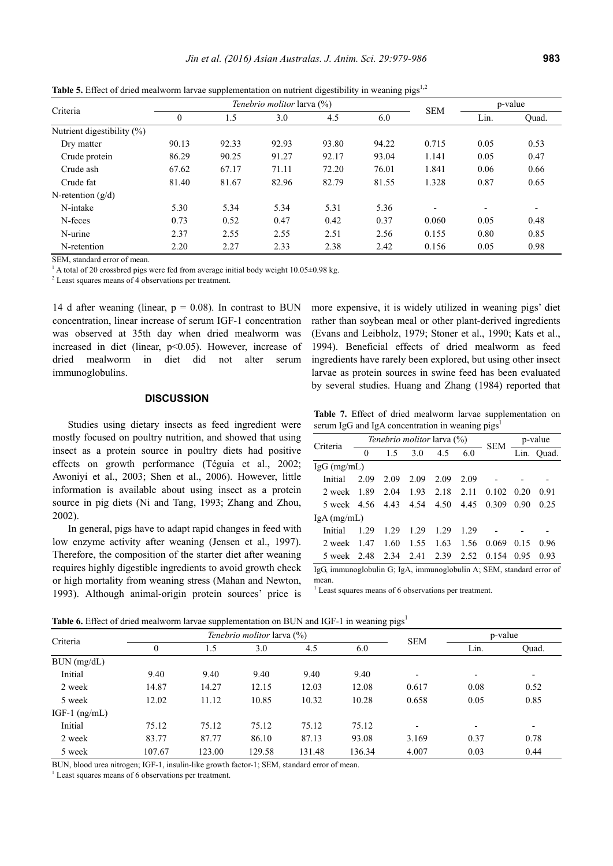|                            |                                   | * *   |       | ັ     | <u>UI U</u> |                |         |       |
|----------------------------|-----------------------------------|-------|-------|-------|-------------|----------------|---------|-------|
| Criteria                   | <i>Tenebrio molitor</i> larva (%) |       |       |       |             | <b>SEM</b>     | p-value |       |
|                            | 0                                 | 1.5   | 3.0   | 4.5   | 6.0         |                | Lin.    | Quad. |
| Nutrient digestibility (%) |                                   |       |       |       |             |                |         |       |
| Dry matter                 | 90.13                             | 92.33 | 92.93 | 93.80 | 94.22       | 0.715          | 0.05    | 0.53  |
| Crude protein              | 86.29                             | 90.25 | 91.27 | 92.17 | 93.04       | 1.141          | 0.05    | 0.47  |
| Crude ash                  | 67.62                             | 67.17 | 71.11 | 72.20 | 76.01       | 1.841          | 0.06    | 0.66  |
| Crude fat                  | 81.40                             | 81.67 | 82.96 | 82.79 | 81.55       | 1.328          | 0.87    | 0.65  |
| N-retention $(g/d)$        |                                   |       |       |       |             |                |         |       |
| N-intake                   | 5.30                              | 5.34  | 5.34  | 5.31  | 5.36        | $\blacksquare$ |         |       |
| N-feces                    | 0.73                              | 0.52  | 0.47  | 0.42  | 0.37        | 0.060          | 0.05    | 0.48  |
| N-urine                    | 2.37                              | 2.55  | 2.55  | 2.51  | 2.56        | 0.155          | 0.80    | 0.85  |
| N-retention                | 2.20                              | 2.27  | 2.33  | 2.38  | 2.42        | 0.156          | 0.05    | 0.98  |

**Table 5.** Effect of dried mealworm larvae supplementation on nutrient digestibility in weaning pigs<sup>1,2</sup>

SEM, standard error of mean.

<sup>1</sup> A total of 20 crossbred pigs were fed from average initial body weight  $10.05\pm0.98$  kg.

<sup>2</sup> Least squares means of 4 observations per treatment.

14 d after weaning (linear,  $p = 0.08$ ). In contrast to BUN concentration, linear increase of serum IGF-1 concentration was observed at 35th day when dried mealworm was increased in diet (linear, p<0.05). However, increase of dried mealworm in diet did not alter serum immunoglobulins.

## **DISCUSSION**

Studies using dietary insects as feed ingredient were mostly focused on poultry nutrition, and showed that using insect as a protein source in poultry diets had positive effects on growth performance (Téguia et al., 2002; Awoniyi et al., 2003; Shen et al., 2006). However, little information is available about using insect as a protein source in pig diets (Ni and Tang, 1993; Zhang and Zhou, 2002).

In general, pigs have to adapt rapid changes in feed with low enzyme activity after weaning (Jensen et al., 1997). Therefore, the composition of the starter diet after weaning requires highly digestible ingredients to avoid growth check or high mortality from weaning stress (Mahan and Newton, 1993). Although animal-origin protein sources' price is

more expensive, it is widely utilized in weaning pigs' diet rather than soybean meal or other plant-derived ingredients (Evans and Leibholz, 1979; Stoner et al., 1990; Kats et al., 1994). Beneficial effects of dried mealworm as feed ingredients have rarely been explored, but using other insect larvae as protein sources in swine feed has been evaluated by several studies. Huang and Zhang (1984) reported that

**Table 7.** Effect of dried mealworm larvae supplementation on serum IgG and IgA concentration in weaning  $pigs<sup>1</sup>$ 

| Criteria                   |      | <i>Tenebrio molitor</i> larva (%)            |      | <b>SEM</b>          | p-value |                                                                                                                                                                                                                                                                                                                                    |      |            |
|----------------------------|------|----------------------------------------------|------|---------------------|---------|------------------------------------------------------------------------------------------------------------------------------------------------------------------------------------------------------------------------------------------------------------------------------------------------------------------------------------|------|------------|
|                            | 0    | 1.5                                          | 3.0  | 4.5                 | 6.0     |                                                                                                                                                                                                                                                                                                                                    |      | Lin. Ouad. |
| $IgG$ (mg/mL)              |      |                                              |      |                     |         |                                                                                                                                                                                                                                                                                                                                    |      |            |
| Initial                    | 2.09 | 2.09                                         | 2.09 | 2.09                | 2.09    |                                                                                                                                                                                                                                                                                                                                    |      |            |
| 2 week 1.89                |      | 2.04                                         |      | 1.93 2.18 2.11      |         | 0.102                                                                                                                                                                                                                                                                                                                              | 0.20 | 0.91       |
| 5 week 4.56 4.43 4.54 4.50 |      |                                              |      |                     | 4.45    | 0.309                                                                                                                                                                                                                                                                                                                              | 0.90 | 0.25       |
| $IgA$ (mg/mL)              |      |                                              |      |                     |         |                                                                                                                                                                                                                                                                                                                                    |      |            |
| Initial                    | 1 29 | 1 2.9                                        | 1.29 | 1.29                | 1 2.9   |                                                                                                                                                                                                                                                                                                                                    |      |            |
| 2 week                     | -147 | 1.60                                         | 1.55 | 1.63                | 1.56    | 0.069                                                                                                                                                                                                                                                                                                                              | 0.15 | 0.96       |
| 5 week 2.48                |      |                                              |      | 2.34 2.41 2.39 2.52 |         | 0.154                                                                                                                                                                                                                                                                                                                              | 0.95 | 0.93       |
| $\cdot$ $\sim$ $\cdot$     |      | $\sim$ 11 $\sim$ $\sim$ $\sim$ $\sim$ $\sim$ |      |                     |         | $\mathbf{1}$ $\mathbf{1}$ $\mathbf{1}$ $\mathbf{1}$ $\mathbf{1}$ $\mathbf{1}$ $\mathbf{1}$ $\mathbf{1}$ $\mathbf{1}$ $\mathbf{1}$ $\mathbf{1}$ $\mathbf{1}$ $\mathbf{1}$ $\mathbf{1}$ $\mathbf{1}$ $\mathbf{1}$ $\mathbf{1}$ $\mathbf{1}$ $\mathbf{1}$ $\mathbf{1}$ $\mathbf{1}$ $\mathbf{1}$ $\mathbf{1}$ $\mathbf{1}$ $\mathbf{$ |      |            |

IgG, immunoglobulin G; IgA, immunoglobulin A; SEM, standard error of mean.

<sup>1</sup> Least squares means of 6 observations per treatment.

**Table 6.** Effect of dried mealworm larvae supplementation on BUN and IGF-1 in weaning pigs<sup>1</sup>

| Criteria        |                  |        | <i>Tenebrio molitor</i> larva (%) |        | p-value |                          |                          |       |
|-----------------|------------------|--------|-----------------------------------|--------|---------|--------------------------|--------------------------|-------|
|                 | $\boldsymbol{0}$ | 1.5    | 3.0                               | 4.5    | 6.0     | <b>SEM</b>               | Lin.                     | Quad. |
| BUN (mg/dL)     |                  |        |                                   |        |         |                          |                          |       |
| Initial         | 9.40             | 9.40   | 9.40                              | 9.40   | 9.40    | $\overline{\phantom{0}}$ | $\overline{\phantom{a}}$ |       |
| 2 week          | 14.87            | 14.27  | 12.15                             | 12.03  | 12.08   | 0.617                    | 0.08                     | 0.52  |
| 5 week          | 12.02            | 11.12  | 10.85                             | 10.32  | 10.28   | 0.658                    | 0.05                     | 0.85  |
| IGF-1 $(ng/mL)$ |                  |        |                                   |        |         |                          |                          |       |
| Initial         | 75.12            | 75.12  | 75.12                             | 75.12  | 75.12   |                          | $\overline{\phantom{a}}$ |       |
| 2 week          | 83.77            | 87.77  | 86.10                             | 87.13  | 93.08   | 3.169                    | 0.37                     | 0.78  |
| 5 week          | 107.67           | 123.00 | 129.58                            | 131.48 | 136.34  | 4.007                    | 0.03                     | 0.44  |

BUN, blood urea nitrogen; IGF-1, insulin-like growth factor-1; SEM, standard error of mean.

 $<sup>1</sup>$  Least squares means of 6 observations per treatment.</sup>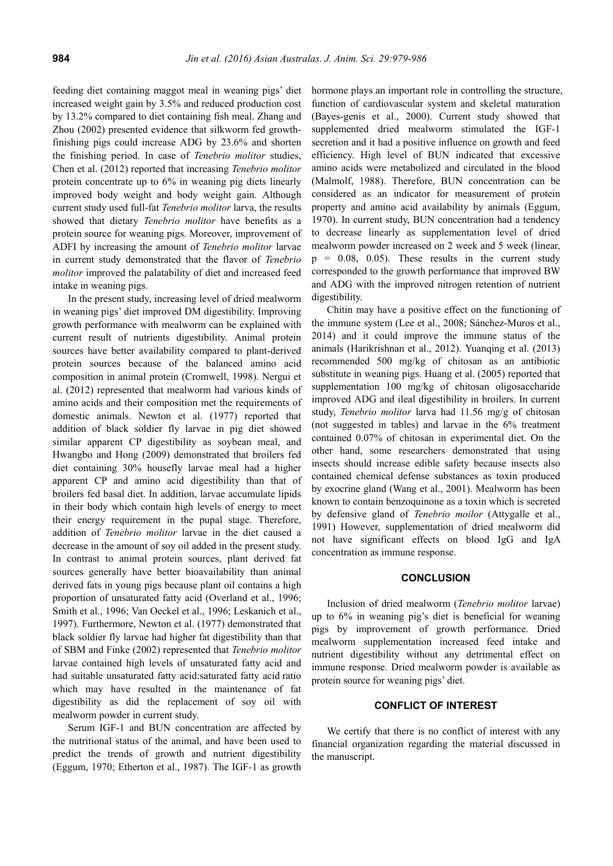feeding diet containing maggot meal in weaning pigs' diet increased weight gain by 3.5% and reduced production cost by 13.2% compared to diet containing fish meal. Zhang and Zhou (2002) presented evidence that silkworm fed growthfinishing pigs could increase ADG by 23.6% and shorten the finishing period. In case of *Tenebrio molitor* studies, Chen et al. (2012) reported that increasing *Tenebrio molitor* protein concentrate up to 6% in weaning pig diets linearly improved body weight and body weight gain. Although current study used full-fat *Tenebrio molitor* larva, the results showed that dietary *Tenebrio molitor* have benefits as a protein source for weaning pigs. Moreover, improvement of ADFI by increasing the amount of *Tenebrio molitor* larvae in current study demonstrated that the flavor of *Tenebrio molitor* improved the palatability of diet and increased feed intake in weaning pigs.

In the present study, increasing level of dried mealworm in weaning pigs' diet improved DM digestibility. Improving growth performance with mealworm can be explained with current result of nutrients digestibility. Animal protein sources have better availability compared to plant-derived protein sources because of the balanced amino acid composition in animal protein (Cromwell, 1998). Nergui et al. (2012) represented that mealworm had various kinds of amino acids and their composition met the requirements of domestic animals. Newton et al. (1977) reported that addition of black soldier fly larvae in pig diet showed similar apparent CP digestibility as soybean meal, and Hwangbo and Hong (2009) demonstrated that broilers fed diet containing 30% housefly larvae meal had a higher apparent CP and amino acid digestibility than that of broilers fed basal diet. In addition, larvae accumulate lipids in their body which contain high levels of energy to meet their energy requirement in the pupal stage. Therefore, addition of *Tenebrio molitor* larvae in the diet caused a decrease in the amount of soy oil added in the present study. In contrast to animal protein sources, plant derived fat sources generally have better bioavailability than animal derived fats in young pigs because plant oil contains a high proportion of unsaturated fatty acid (Overland et al., 1996; Smith et al., 1996; Van Oeckel et al., 1996; Leskanich et al., 1997). Furthermore, Newton et al. (1977) demonstrated that black soldier fly larvae had higher fat digestibility than that of SBM and Finke (2002) represented that *Tenebrio molitor* larvae contained high levels of unsaturated fatty acid and had suitable unsaturated fatty acid:saturated fatty acid ratio which may have resulted in the maintenance of fat digestibility as did the replacement of soy oil with mealworm powder in current study.

Serum IGF-1 and BUN concentration are affected by the nutritional status of the animal, and have been used to predict the trends of growth and nutrient digestibility (Eggum, 1970; Etherton et al., 1987). The IGF-1 as growth

hormone plays an important role in controlling the structure, function of cardiovascular system and skeletal maturation (Bayes-genis et al., 2000). Current study showed that supplemented dried mealworm stimulated the IGF-1 secretion and it had a positive influence on growth and feed efficiency. High level of BUN indicated that excessive amino acids were metabolized and circulated in the blood (Malmolf, 1988). Therefore, BUN concentration can be considered as an indicator for measurement of protein property and amino acid availability by animals (Eggum, 1970). In current study, BUN concentration had a tendency to decrease linearly as supplementation level of dried mealworm powder increased on 2 week and 5 week (linear,  $p = 0.08, 0.05$ . These results in the current study corresponded to the growth performance that improved BW and ADG with the improved nitrogen retention of nutrient digestibility.

Chitin may have a positive effect on the functioning of the immune system (Lee et al., 2008; Sánchez-Muros et al., 2014) and it could improve the immune status of the animals (Harikrishnan et al., 2012). Yuanqing et al. (2013) recommended 500 mg/kg of chitosan as an antibiotic substitute in weaning pigs. Huang et al. (2005) reported that supplementation 100 mg/kg of chitosan oligosaccharide improved ADG and ileal digestibility in broilers. In current study, *Tenebrio molitor* larva had 11.56 mg/g of chitosan (not suggested in tables) and larvae in the 6% treatment contained 0.07% of chitosan in experimental diet. On the other hand, some researchers demonstrated that using insects should increase edible safety because insects also contained chemical defense substances as toxin produced by exocrine gland (Wang et al., 2001). Mealworm has been known to contain benzoquinone as a toxin which is secreted by defensive gland of *Tenebrio moilor* (Attygalle et al., 1991) However, supplementation of dried mealworm did not have significant effects on blood IgG and IgA concentration as immune response.

## **CONCLUSION**

Inclusion of dried mealworm (*Tenebrio molitor* larvae) up to 6% in weaning pig's diet is beneficial for weaning pigs by improvement of growth performance. Dried mealworm supplementation increased feed intake and nutrient digestibility without any detrimental effect on immune response. Dried mealworm powder is available as protein source for weaning pigs' diet.

## **CONFLICT OF INTEREST**

We certify that there is no conflict of interest with any financial organization regarding the material discussed in the manuscript.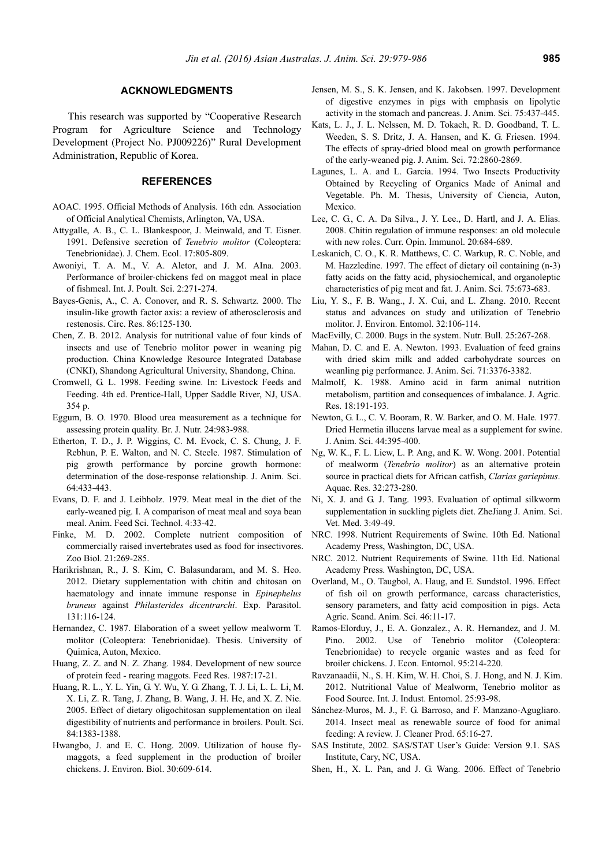#### **ACKNOWLEDGMENTS**

This research was supported by "Cooperative Research Program for Agriculture Science and Technology Development (Project No. PJ009226)" Rural Development Administration, Republic of Korea.

#### **REFERENCES**

- AOAC. 1995. Official Methods of Analysis. 16th edn. Association of Official Analytical Chemists, Arlington, VA, USA.
- Attygalle, A. B., C. L. Blankespoor, J. Meinwald, and T. Eisner. 1991. Defensive secretion of *Tenebrio molitor* (Coleoptera: Tenebrionidae). J. Chem. Ecol. 17:805-809.
- Awoniyi, T. A. M., V. A. Aletor, and J. M. AIna. 2003. Performance of broiler-chickens fed on maggot meal in place of fishmeal. Int. J. Poult. Sci. 2:271-274.
- Bayes-Genis, A., C. A. Conover, and R. S. Schwartz. 2000. The insulin-like growth factor axis: a review of atherosclerosis and restenosis. Circ. Res. 86:125-130.
- Chen, Z. B. 2012. Analysis for nutritional value of four kinds of insects and use of Tenebrio molitor power in weaning pig production. China Knowledge Resource Integrated Database (CNKI), Shandong Agricultural University, Shandong, China.
- Cromwell, G. L. 1998. Feeding swine. In: Livestock Feeds and Feeding. 4th ed. Prentice-Hall, Upper Saddle River, NJ, USA. 354 p.
- Eggum, B. O. 1970. Blood urea measurement as a technique for assessing protein quality. Br. J. Nutr. 24:983-988.
- Etherton, T. D., J. P. Wiggins, C. M. Evock, C. S. Chung, J. F. Rebhun, P. E. Walton, and N. C. Steele. 1987. Stimulation of pig growth performance by porcine growth hormone: determination of the dose-response relationship. J. Anim. Sci. 64:433-443.
- Evans, D. F. and J. Leibholz. 1979. Meat meal in the diet of the early-weaned pig. I. A comparison of meat meal and soya bean meal. Anim. Feed Sci. Technol. 4:33-42.
- Finke, M. D. 2002. Complete nutrient composition of commercially raised invertebrates used as food for insectivores. Zoo Biol. 21:269-285.
- Harikrishnan, R., J. S. Kim, C. Balasundaram, and M. S. Heo. 2012. Dietary supplementation with chitin and chitosan on haematology and innate immune response in *Epinephelus bruneus* against *Philasterides dicentrarchi*. Exp. Parasitol. 131:116-124.
- Hernandez, C. 1987. Elaboration of a sweet yellow mealworm T. molitor (Coleoptera: Tenebrionidae). Thesis. University of Quimica, Auton, Mexico.
- Huang, Z. Z. and N. Z. Zhang. 1984. Development of new source of protein feed - rearing maggots. Feed Res. 1987:17-21.
- Huang, R. L., Y. L. Yin, G. Y. Wu, Y. G. Zhang, T. J. Li, L. L. Li, M. X. Li, Z. R. Tang, J. Zhang, B. Wang, J. H. He, and X. Z. Nie. 2005. Effect of dietary oligochitosan supplementation on ileal digestibility of nutrients and performance in broilers. Poult. Sci. 84:1383-1388.
- Hwangbo, J. and E. C. Hong. 2009. Utilization of house flymaggots, a feed supplement in the production of broiler chickens. J. Environ. Biol. 30:609-614.
- Jensen, M. S., S. K. Jensen, and K. Jakobsen. 1997. Development of digestive enzymes in pigs with emphasis on lipolytic activity in the stomach and pancreas. J. Anim. Sci. 75:437-445.
- Kats, L. J., J. L. Nelssen, M. D. Tokach, R. D. Goodband, T. L. Weeden, S. S. Dritz, J. A. Hansen, and K. G. Friesen. 1994. The effects of spray-dried blood meal on growth performance of the early-weaned pig. J. Anim. Sci. 72:2860-2869.
- Lagunes, L. A. and L. Garcia. 1994. Two Insects Productivity Obtained by Recycling of Organics Made of Animal and Vegetable. Ph. M. Thesis, University of Ciencia, Auton, Mexico.
- Lee, C. G., C. A. Da Silva., J. Y. Lee., D. Hartl, and J. A. Elias. 2008. Chitin regulation of immune responses: an old molecule with new roles. Curr. Opin. Immunol. 20:684-689.
- Leskanich, C. O., K. R. Matthews, C. C. Warkup, R. C. Noble, and M. Hazzledine. 1997. The effect of dietary oil containing (n-3) fatty acids on the fatty acid, physiochemical, and organoleptic characteristics of pig meat and fat. J. Anim. Sci. 75:673-683.
- Liu, Y. S., F. B. Wang., J. X. Cui, and L. Zhang. 2010. Recent status and advances on study and utilization of Tenebrio molitor. J. Environ. Entomol. 32:106-114.
- MacEvilly, C. 2000. Bugs in the system. Nutr. Bull. 25:267-268.
- Mahan, D. C. and E. A. Newton. 1993. Evaluation of feed grains with dried skim milk and added carbohydrate sources on weanling pig performance. J. Anim. Sci. 71:3376-3382.
- Malmolf, K. 1988. Amino acid in farm animal nutrition metabolism, partition and consequences of imbalance. J. Agric. Res. 18:191-193.
- Newton, G. L., C. V. Booram, R. W. Barker, and O. M. Hale. 1977. Dried Hermetia illucens larvae meal as a supplement for swine. J. Anim. Sci. 44:395-400.
- Ng, W. K., F. L. Liew, L. P. Ang, and K. W. Wong. 2001. Potential of mealworm (*Tenebrio molitor*) as an alternative protein source in practical diets for African catfish, *Clarias gariepinus*. Aquac. Res. 32:273-280.
- Ni, X. J. and G. J. Tang. 1993. Evaluation of optimal silkworm supplementation in suckling piglets diet. ZheJiang J. Anim. Sci. Vet. Med. 3:49-49.
- NRC. 1998. Nutrient Requirements of Swine. 10th Ed. National Academy Press, Washington, DC, USA.
- NRC. 2012. Nutrient Requirements of Swine. 11th Ed. National Academy Press. Washington, DC, USA.
- Overland, M., O. Taugbol, A. Haug, and E. Sundstol. 1996. Effect of fish oil on growth performance, carcass characteristics, sensory parameters, and fatty acid composition in pigs. Acta Agric. Scand. Anim. Sci. 46:11-17.
- Ramos-Elorduy, J., E. A. Gonzalez., A. R. Hernandez, and J. M. Pino. 2002. Use of Tenebrio molitor (Coleoptera: Tenebrionidae) to recycle organic wastes and as feed for broiler chickens. J. Econ. Entomol. 95:214-220.
- Ravzanaadii, N., S. H. Kim, W. H. Choi, S. J. Hong, and N. J. Kim. 2012. Nutritional Value of Mealworm, Tenebrio molitor as Food Source. Int. J. Indust. Entomol. 25:93-98.
- Sánchez-Muros, M. J., F. G. Barroso, and F. Manzano-Agugliaro. 2014. Insect meal as renewable source of food for animal feeding: A review. J. Cleaner Prod. 65:16-27.
- SAS Institute, 2002. SAS/STAT User's Guide: Version 9.1. SAS Institute, Cary, NC, USA.
- Shen, H., X. L. Pan, and J. G. Wang. 2006. Effect of Tenebrio